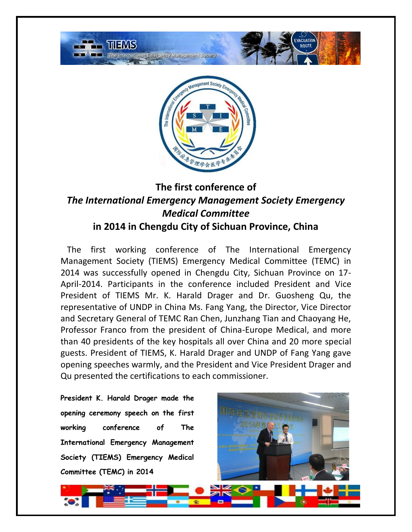

## **The first conference of**  *The International Emergency Management Society Emergency Medical Committee*

## **in 2014 in Chengdu City of Sichuan Province, China**

 The first working conference of The International Emergency Management Society (TIEMS) Emergency Medical Committee (TEMC) in 2014 was successfully opened in Chengdu City, Sichuan Province on 17- April-2014. Participants in the conference included President and Vice President of TIEMS Mr. K. Harald Drager and Dr. Guosheng Qu, the representative of UNDP in China Ms. Fang Yang, the Director, Vice Director and Secretary General of TEMC Ran Chen, Junzhang Tian and Chaoyang He, Professor Franco from the president of China-Europe Medical, and more than 40 presidents of the key hospitals all over China and 20 more special guests. President of TIEMS, K. Harald Drager and UNDP of Fang Yang gave opening speeches warmly, and the President and Vice President Drager and Qu presented the certifications to each commissioner.

**President K. Harald Drager made the opening ceremony speech on the first working conference of The International Emergency Management Society (TIEMS) Emergency Medical Committee (TEMC) in 2014**



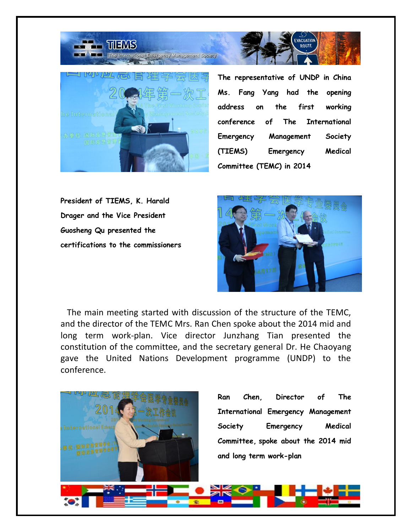

**THE THEMS** 

**The representative of UNDP in China Ms. Fang Yang had the opening address on the first working conference of The International Emergency Management Society (TIEMS) Emergency Medical Committee (TEMC) in 2014**

**IACUATION** 

**ROUTE** 

**President of TIEMS, K. Harald Drager and the Vice President Guosheng Qu presented the certifications to the commissioners**



 The main meeting started with discussion of the structure of the TEMC, and the director of the TEMC Mrs. Ran Chen spoke about the 2014 mid and long term work-plan. Vice director Junzhang Tian presented the constitution of the committee, and the secretary general Dr. He Chaoyang gave the United Nations Development programme (UNDP) to the conference.

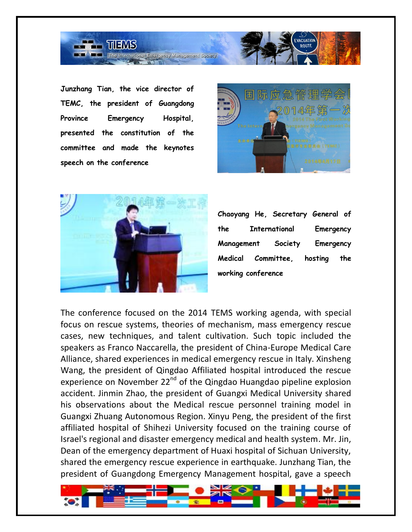

**Junzhang Tian, the vice director of TEMC, the president of Guangdong Province Emergency Hospital, presented the constitution of the committee and made the keynotes speech on the conference**





**Chaoyang He, Secretary General of the International Emergency Management Society Emergency Medical Committee, hosting the working conference**

The conference focused on the 2014 TEMS working agenda, with special focus on rescue systems, theories of mechanism, mass emergency rescue cases, new techniques, and talent cultivation. Such topic included the speakers as Franco Naccarella, the president of China-Europe Medical Care Alliance, shared experiences in medical emergency rescue in Italy. Xinsheng Wang, the president of Qingdao Affiliated hospital introduced the rescue experience on November 22<sup>nd</sup> of the Qingdao Huangdao pipeline explosion accident. Jinmin Zhao, the president of Guangxi Medical University shared his observations about the Medical rescue personnel training model in Guangxi Zhuang Autonomous Region. Xinyu Peng, the president of the first affiliated hospital of Shihezi University focused on the training course of Israel's regional and disaster emergency medical and health system. Mr. Jin, Dean of the emergency department of Huaxi hospital of Sichuan University, shared the emergency rescue experience in earthquake. Junzhang Tian, the president of Guangdong Emergency Management hospital, gave a speech

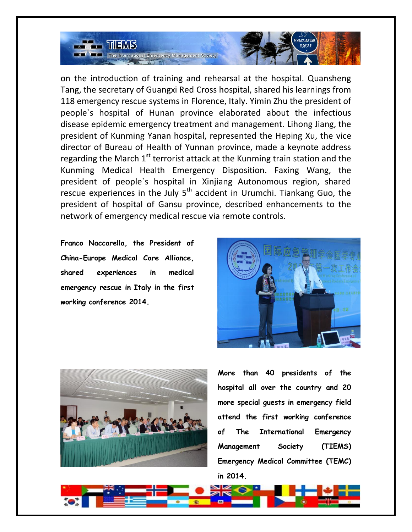

on the introduction of training and rehearsal at the hospital. Quansheng Tang, the secretary of Guangxi Red Cross hospital, shared his learnings from 118 emergency rescue systems in Florence, Italy. Yimin Zhu the president of people`s hospital of Hunan province elaborated about the infectious disease epidemic emergency treatment and management. Lihong Jiang, the president of Kunming Yanan hospital, represented the Heping Xu, the vice director of Bureau of Health of Yunnan province, made a keynote address regarding the March  $1<sup>st</sup>$  terrorist attack at the Kunming train station and the Kunming Medical Health Emergency Disposition. Faxing Wang, the president of people`s hospital in Xinjiang Autonomous region, shared rescue experiences in the July  $5<sup>th</sup>$  accident in Urumchi. Tiankang Guo, the president of hospital of Gansu province, described enhancements to the network of emergency medical rescue via remote controls.

**Franco Naccarella, the President of China-Europe Medical Care Alliance, shared experiences in medical emergency rescue in Italy in the first working conference 2014.**





**More than 40 presidents of the hospital all over the country and 20 more special guests in emergency field attend the first working conference of The International Emergency Management Society (TIEMS) Emergency Medical Committee (TEMC) in 2014.**